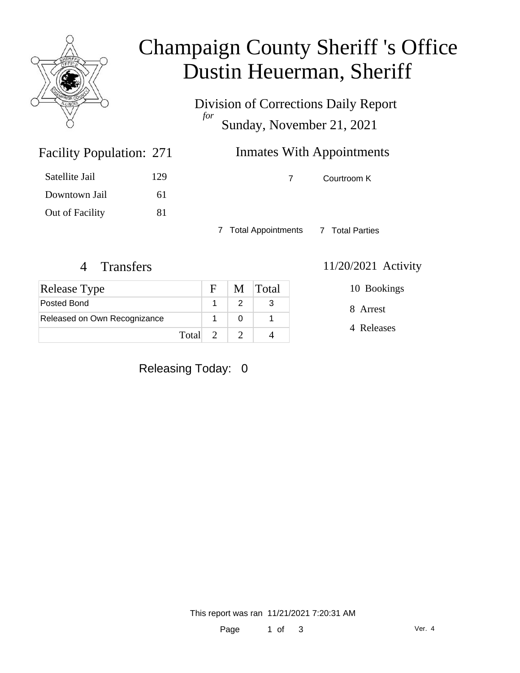

## Champaign County Sheriff 's Office Dustin Heuerman, Sheriff

Division of Corrections Daily Report *for* Sunday, November 21, 2021

### **Inmates With Appointments**

7 Courtroom K

7 Total Appointments 7 Total Parties

Facility Population: 271

Satellite Jail 129

Downtown Jail 61

Out of Facility 81

| <b>Release Type</b>          |         | $\mathbf{F}$ | M Total |
|------------------------------|---------|--------------|---------|
| Posted Bond                  |         |              |         |
| Released on Own Recognizance |         |              |         |
|                              | Total 2 |              |         |

4 Transfers 11/20/2021 Activity

8 Arrest 10 Bookings

4 Releases

Releasing Today: 0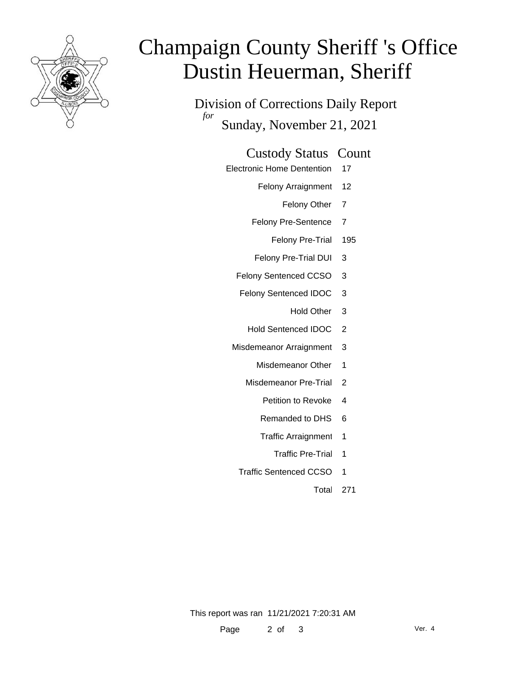

# Champaign County Sheriff 's Office Dustin Heuerman, Sheriff

Division of Corrections Daily Report *for* Sunday, November 21, 2021

#### Custody Status Count

- Electronic Home Dentention 17
	- Felony Arraignment 12
		- Felony Other 7
	- Felony Pre-Sentence 7
		- Felony Pre-Trial 195
	- Felony Pre-Trial DUI 3
	- Felony Sentenced CCSO 3
	- Felony Sentenced IDOC 3
		- Hold Other 3
		- Hold Sentenced IDOC 2
	- Misdemeanor Arraignment 3
		- Misdemeanor Other 1
		- Misdemeanor Pre-Trial 2
			- Petition to Revoke 4
			- Remanded to DHS 6
			- Traffic Arraignment 1
				- Traffic Pre-Trial 1
		- Traffic Sentenced CCSO 1
			- Total 271